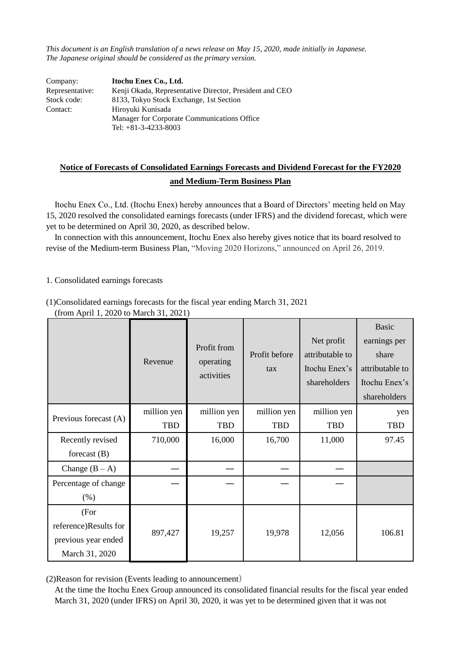*This document is an English translation of a news release on May 15, 2020, made initially in Japanese. The Japanese original should be considered as the primary version.*

| Company:        | Itochu Enex Co., Ltd.                                   |
|-----------------|---------------------------------------------------------|
| Representative: | Kenji Okada, Representative Director, President and CEO |
| Stock code:     | 8133, Tokyo Stock Exchange, 1st Section                 |
| Contact:        | Hiroyuki Kunisada                                       |
|                 | Manager for Corporate Communications Office             |
|                 | Tel: $+81-3-4233-8003$                                  |

# **Notice of Forecasts of Consolidated Earnings Forecasts and Dividend Forecast for the FY2020 and Medium-Term Business Plan**

Itochu Enex Co., Ltd. (Itochu Enex) hereby announces that a Board of Directors' meeting held on May 15, 2020 resolved the consolidated earnings forecasts (under IFRS) and the dividend forecast, which were yet to be determined on April 30, 2020, as described below.

In connection with this announcement, Itochu Enex also hereby gives notice that its board resolved to revise of the Medium-term Business Plan, "Moving 2020 Horizons," announced on April 26, 2019.

#### 1. Consolidated earnings forecasts

(1)Consolidated earnings forecasts for the fiscal year ending March 31, 2021

|                       |             |                                        |                      |                 | <b>Basic</b>    |
|-----------------------|-------------|----------------------------------------|----------------------|-----------------|-----------------|
|                       |             | Profit from<br>operating<br>activities | Profit before<br>tax | Net profit      | earnings per    |
|                       | Revenue     |                                        |                      | attributable to | share           |
|                       |             |                                        |                      | Itochu Enex's   | attributable to |
|                       |             |                                        |                      | shareholders    | Itochu Enex's   |
|                       |             |                                        |                      |                 | shareholders    |
| Previous forecast (A) | million yen | million yen                            | million yen          | million yen     | yen             |
|                       | <b>TBD</b>  | <b>TBD</b>                             | <b>TBD</b>           | <b>TBD</b>      | <b>TBD</b>      |
| Recently revised      | 710,000     | 16,000                                 | 16,700               | 11,000          | 97.45           |
| forecast $(B)$        |             |                                        |                      |                 |                 |
| Change $(B - A)$      |             |                                        |                      |                 |                 |
| Percentage of change  |             |                                        |                      |                 |                 |
| (% )                  |             |                                        |                      |                 |                 |
| (For                  |             |                                        |                      |                 |                 |
| reference)Results for |             |                                        |                      |                 | 106.81          |
| previous year ended   | 897,427     | 19,257                                 | 19,978               | 12,056          |                 |
| March 31, 2020        |             |                                        |                      |                 |                 |

(from April 1, 2020 to March 31, 2021)

(2)Reason for revision (Events leading to announcement)

At the time the Itochu Enex Group announced its consolidated financial results for the fiscal year ended March 31, 2020 (under IFRS) on April 30, 2020, it was yet to be determined given that it was not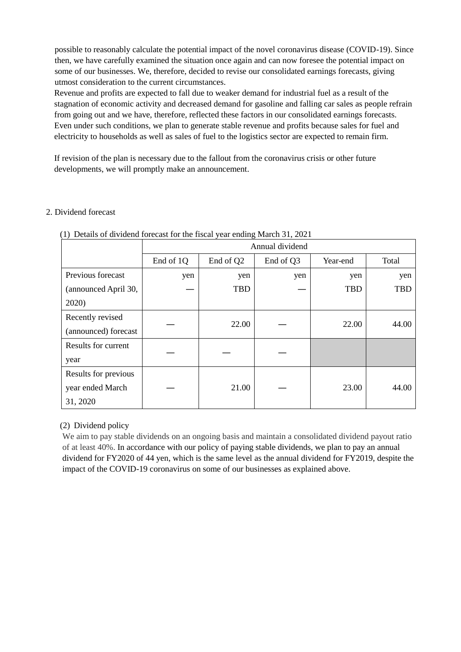possible to reasonably calculate the potential impact of the novel coronavirus disease (COVID-19). Since then, we have carefully examined the situation once again and can now foresee the potential impact on some of our businesses. We, therefore, decided to revise our consolidated earnings forecasts, giving utmost consideration to the current circumstances.

Revenue and profits are expected to fall due to weaker demand for industrial fuel as a result of the stagnation of economic activity and decreased demand for gasoline and falling car sales as people refrain from going out and we have, therefore, reflected these factors in our consolidated earnings forecasts. Even under such conditions, we plan to generate stable revenue and profits because sales for fuel and electricity to households as well as sales of fuel to the logistics sector are expected to remain firm.

If revision of the plan is necessary due to the fallout from the coronavirus crisis or other future developments, we will promptly make an announcement.

### 2. Dividend forecast

|                      | c<br>Annual dividend |            |           |            |            |
|----------------------|----------------------|------------|-----------|------------|------------|
|                      | End of 1Q            | End of Q2  | End of Q3 | Year-end   | Total      |
| Previous forecast    | yen                  | yen        | yen       | yen        | yen        |
| (announced April 30, |                      | <b>TBD</b> |           | <b>TBD</b> | <b>TBD</b> |
| 2020)                |                      |            |           |            |            |
| Recently revised     |                      |            |           | 22.00      |            |
| (announced) forecast |                      | 22.00      |           |            | 44.00      |
| Results for current  |                      |            |           |            |            |
| year                 |                      |            |           |            |            |
| Results for previous |                      |            |           |            |            |
| year ended March     |                      | 21.00      |           | 23.00      | 44.00      |
| 31, 2020             |                      |            |           |            |            |

(1) Details of dividend forecast for the fiscal year ending March 31, 2021

### (2) Dividend policy

We aim to pay stable dividends on an ongoing basis and maintain a consolidated dividend payout ratio of at least 40%. In accordance with our policy of paying stable dividends, we plan to pay an annual dividend for FY2020 of 44 yen, which is the same level as the annual dividend for FY2019, despite the impact of the COVID-19 coronavirus on some of our businesses as explained above.